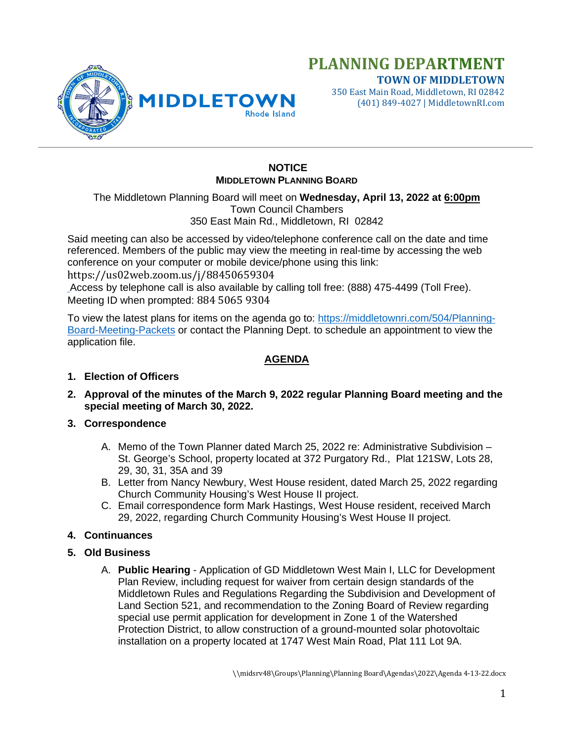

**TOWN OF MIDDLETOWN** 350 East Main Road, Middletown, RI 02842 (401) 849-4027 | MiddletownRI.com

## **NOTICE MIDDLETOWN PLANNING BOARD**

The Middletown Planning Board will meet on **Wednesday, April 13, 2022 at 6:00pm** Town Council Chambers 350 East Main Rd., Middletown, RI 02842

Said meeting can also be accessed by video/telephone conference call on the date and time referenced. Members of the public may view the meeting in real-time by accessing the web conference on your computer or mobile device/phone using this link:

https://us02web.zoom.us/j/88450659304

Access by telephone call is also available by calling toll free: (888) 475-4499 (Toll Free). Meeting ID when prompted: 884 5065 9304

To view the latest plans for items on the agenda go to: [https://middletownri.com/504/Planning-](https://middletownri.com/504/Planning-Board-Meeting-Packets)[Board-Meeting-Packets](https://middletownri.com/504/Planning-Board-Meeting-Packets) or contact the Planning Dept. to schedule an appointment to view the application file.

## **AGENDA**

#### **1. Election of Officers**

- **2. Approval of the minutes of the March 9, 2022 regular Planning Board meeting and the special meeting of March 30, 2022.**
- **3. Correspondence**
	- A. Memo of the Town Planner dated March 25, 2022 re: Administrative Subdivision St. George's School, property located at 372 Purgatory Rd., Plat 121SW, Lots 28, 29, 30, 31, 35A and 39
	- B. Letter from Nancy Newbury, West House resident, dated March 25, 2022 regarding Church Community Housing's West House II project.
	- C. Email correspondence form Mark Hastings, West House resident, received March 29, 2022, regarding Church Community Housing's West House II project.

#### **4. Continuances**

- **5. Old Business**
	- A. **Public Hearing** Application of GD Middletown West Main I, LLC for Development Plan Review, including request for waiver from certain design standards of the Middletown Rules and Regulations Regarding the Subdivision and Development of Land Section 521, and recommendation to the Zoning Board of Review regarding special use permit application for development in Zone 1 of the Watershed Protection District, to allow construction of a ground-mounted solar photovoltaic installation on a property located at 1747 West Main Road, Plat 111 Lot 9A.